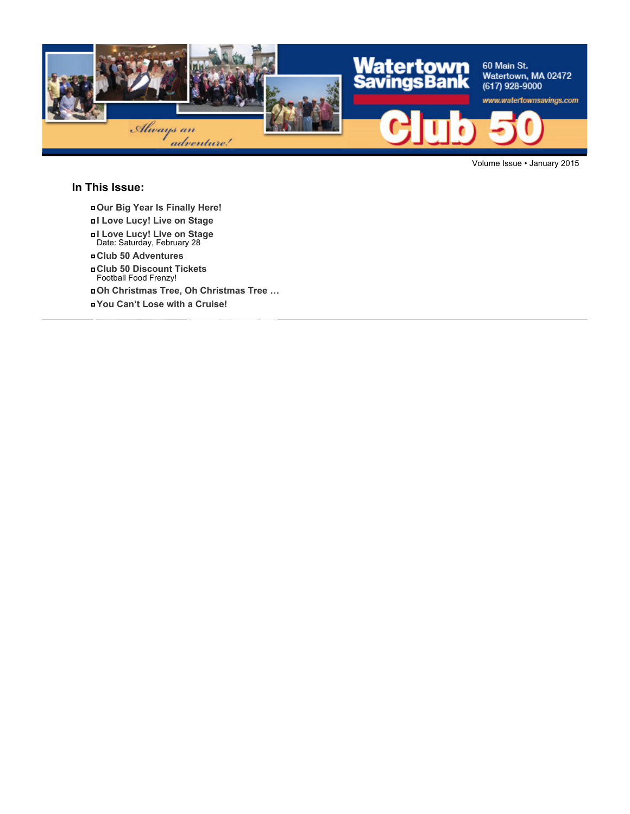

Volume Issue • January 2015

#### **In This Issue:**

- **Our Big Year Is Finally Here!**
- **I Love Lucy! Live on Stage**
- **I Love Lucy! Live on Stage** Date: Saturday, February 28
- **Club 50 Adventures**
- **Club 50 Discount Tickets** Football Food Frenzy!
- **Oh Christmas Tree, Oh Christmas Tree …**
- **You Can't Lose with a Cruise!**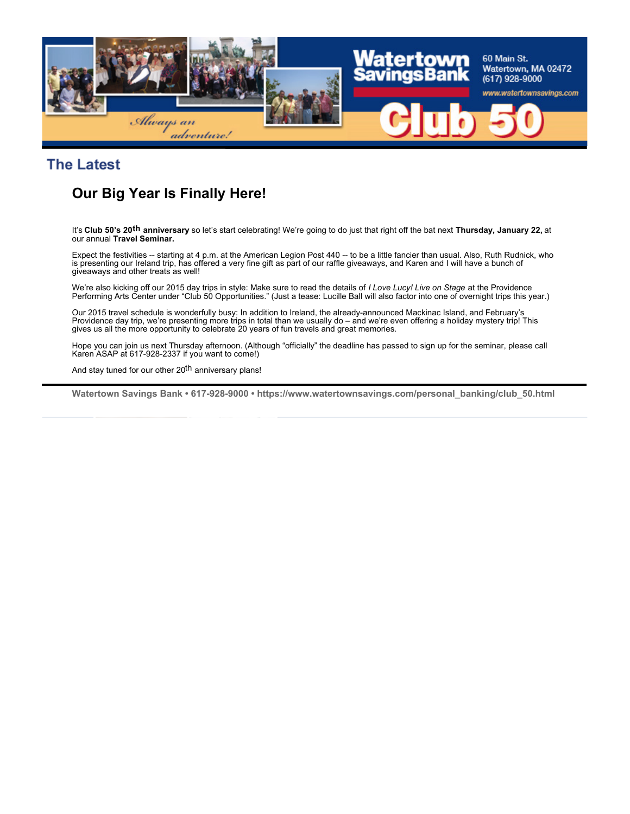

**The Latest** 

# **Our Big Year Is Finally Here!**

It's **Club 50's 20th anniversary** so let's start celebrating! We're going to do just that right off the bat next **Thursday, January 22,** at our annual **Travel Seminar.**

Expect the festivities -- starting at 4 p.m. at the American Legion Post 440 -- to be a little fancier than usual. Also, Ruth Rudnick, who is presenting our Ireland trip, has offered a very fine gift as part of our raffle giveaways, and Karen and I will have a bunch of giveaways and other treats as well!

We're also kicking off our 2015 day trips in style: Make sure to read the details of *I Love Lucy! Live on Stage* at the Providence Performing Arts Center under "Club 50 Opportunities." (Just a tease: Lucille Ball will also factor into one of overnight trips this year.)

Our 2015 travel schedule is wonderfully busy: In addition to Ireland, the already-announced Mackinac Island, and February's Providence day trip, we're presenting more trips in total than we usually do – and we're even offering a holiday mystery trip! This gives us all the more opportunity to celebrate 20 years of fun travels and great memories.

Hope you can join us next Thursday afternoon. (Although "officially" the deadline has passed to sign up for the seminar, please call Karen ASAP at 617-928-2337 if you want to come!)

And stay tuned for our other 20<sup>th</sup> anniversary plans!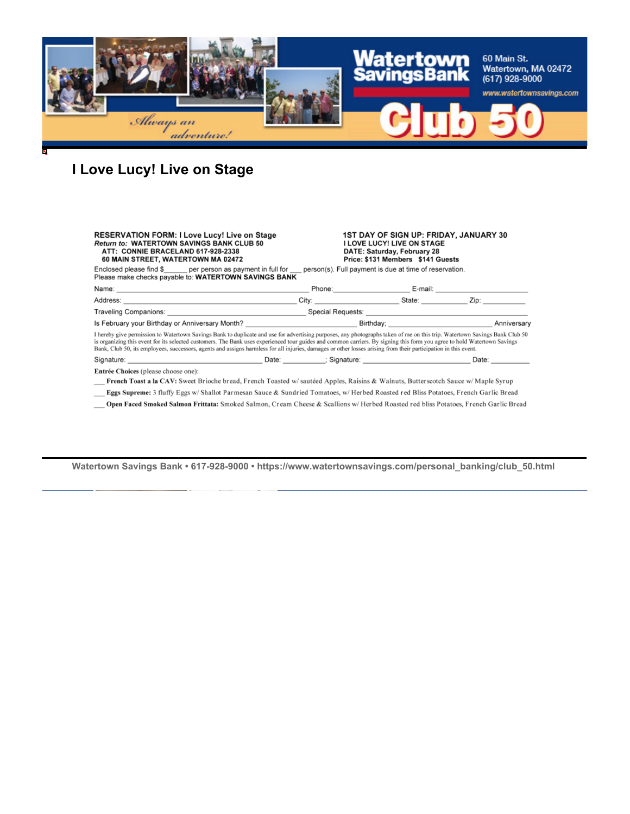

# **I Love Lucy! Live on Stage**

| <b>RESERVATION FORM: I Love Lucy! Live on Stage</b><br><b>Return to: WATERTOWN SAVINGS BANK CLUB 50</b><br>ATT: CONNIE BRACELAND 617-928-2338<br>60 MAIN STREET, WATERTOWN MA 02472                                                                                                                                                                                                                                                                                                                                       | <b>1ST DAY OF SIGN UP: FRIDAY, JANUARY 30</b><br><b>I LOVE LUCY! LIVE ON STAGE</b><br>DATE: Saturday, February 28<br>Price: \$131 Members \$141 Guests |                   |
|---------------------------------------------------------------------------------------------------------------------------------------------------------------------------------------------------------------------------------------------------------------------------------------------------------------------------------------------------------------------------------------------------------------------------------------------------------------------------------------------------------------------------|--------------------------------------------------------------------------------------------------------------------------------------------------------|-------------------|
| Enclosed please find \$ per person as payment in full for person(s). Full payment is due at time of reservation.<br>Please make checks payable to: WATERTOWN SAVINGS BANK                                                                                                                                                                                                                                                                                                                                                 |                                                                                                                                                        |                   |
|                                                                                                                                                                                                                                                                                                                                                                                                                                                                                                                           |                                                                                                                                                        |                   |
|                                                                                                                                                                                                                                                                                                                                                                                                                                                                                                                           |                                                                                                                                                        |                   |
|                                                                                                                                                                                                                                                                                                                                                                                                                                                                                                                           |                                                                                                                                                        |                   |
| Is February your Birthday or Anniversary Month? _________________________________Birthday; ___________________                                                                                                                                                                                                                                                                                                                                                                                                            |                                                                                                                                                        | Anniversary       |
| I hereby give permission to Watertown Savings Bank to duplicate and use for advertising purposes, any photographs taken of me on this trip. Watertown Savings Bank Club 50<br>is organizing this event for its selected customers. The Bank uses experienced tour guides and common carriers. By signing this form you agree to hold Watertown Savings<br>Bank, Club 50, its employees, successors, agents and assigns harmless for all injuries, damages or other losses arising from their participation in this event. |                                                                                                                                                        |                   |
| Signature: National Communication of Date: National Communication of Signature: National Communication of Signature:                                                                                                                                                                                                                                                                                                                                                                                                      |                                                                                                                                                        | Date: <b>Date</b> |
| Entrée Choices (please choose one):                                                                                                                                                                                                                                                                                                                                                                                                                                                                                       |                                                                                                                                                        |                   |
| French Toast a la CAV: Sweet Brioche bread, French Toasted w/sautéed Apples, Raisins & Walnuts, Butterscotch Sauce w/Maple Syrup                                                                                                                                                                                                                                                                                                                                                                                          |                                                                                                                                                        |                   |
| Eggs Supreme: 3 fluffy Eggs w/Shallot Parmesan Sauce & Sundried Tomatoes, w/Herbed Roasted red Bliss Potatoes, French Garlic Bread                                                                                                                                                                                                                                                                                                                                                                                        |                                                                                                                                                        |                   |

Open Faced Smoked Salmon Frittata: Smoked Salmon, Cream Cheese & Scallions w/ Herbed Roasted red bliss Potatoes, French Garlic Bread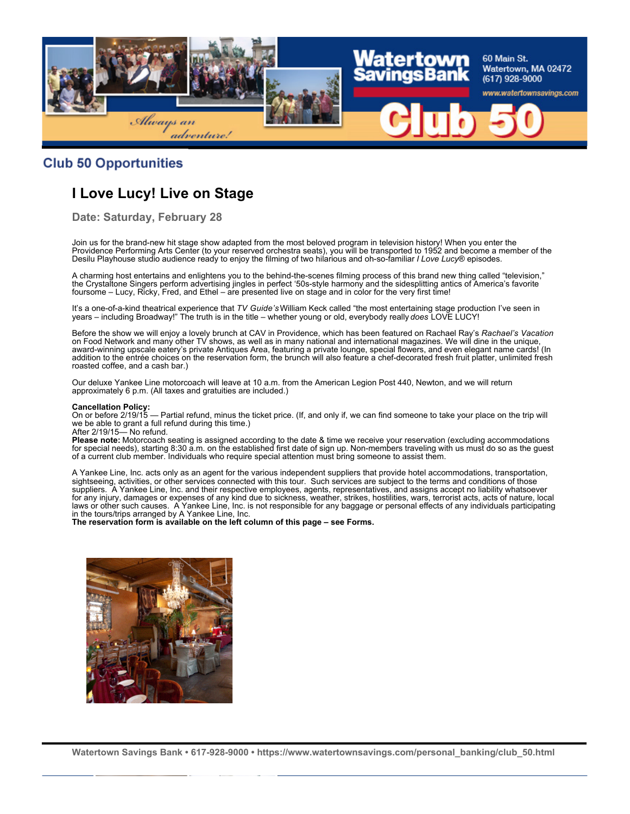

#### **Club 50 Opportunities**

## **I Love Lucy! Live on Stage**

**Date: Saturday, February 28**

Join us for the brand-new hit stage show adapted from the most beloved program in television history! When you enter the Providence Performing Arts Center (to your reserved orchestra seats), you will be transported to 1952 and become a member of the Desilu Playhouse studio audience ready to enjoy the filming of two hilarious and oh-so-familiar *I Love Lucy*® episodes.

A charming host entertains and enlightens you to the behind-the-scenes filming process of this brand new thing called "television," the Crystaltone Singers perform advertising jingles in perfect '50s-style harmony and the sidesplitting antics of America's favorite foursome – Lucy, Ricky, Fred, and Ethel – are presented live on stage and in color for the very first time!

It's a one-of-a-kind theatrical experience that *TV Guide's* William Keck called "the most entertaining stage production I've seen in years – including Broadway!" The truth is in the title – whether young or old, everybody really *does* LOVE LUCY!

Before the show we will enjoy a lovely brunch at CAV in Providence, which has been featured on Rachael Ray's *Rachael's Vacation* on Food Network and many other TV shows, as well as in many national and international magazines. We will dine in the unique, award-winning upscale eatery's private Antiques Area, featuring a private lounge, special flowers, and even elegant name cards! (In addition to the entrée choices on the reservation form, the brunch will also feature a chef-decorated fresh fruit platter, unlimited fresh roasted coffee, and a cash bar.)

Our deluxe Yankee Line motorcoach will leave at 10 a.m. from the American Legion Post 440, Newton, and we will return approximately 6 p.m. (All taxes and gratuities are included.)

#### **Cancellation Policy:**

On or before 2/19/15 — Partial refund, minus the ticket price. (If, and only if, we can find someone to take your place on the trip will we be able to grant a full refund during this time.) After 2/19/15— No refund.

**Please note:** Motorcoach seating is assigned according to the date & time we receive your reservation (excluding accommodations for special needs), starting 8:30 a.m. on the established first date of sign up. Non-members traveling with us must do so as the guest of a current club member. Individuals who require special attention must bring someone to assist them.

A Yankee Line, Inc. acts only as an agent for the various independent suppliers that provide hotel accommodations, transportation, sightseeing, activities, or other services connected with this tour. Such services are subject to the terms and conditions of those suppliers. A Yankee Line, Inc. and their respective employees, agents, representatives, and assigns accept no liability whatsoever for any injury, damages or expenses of any kind due to sickness, weather, strikes, hostilities, wars, terrorist acts, acts of nature, local laws or other such causes. A Yankee Line, Inc. is not responsible for any baggage or personal effects of any individuals participating in the tours/trips arranged by A Yankee Line, Inc.

**The reservation form is available on the left column of this page – see Forms.**

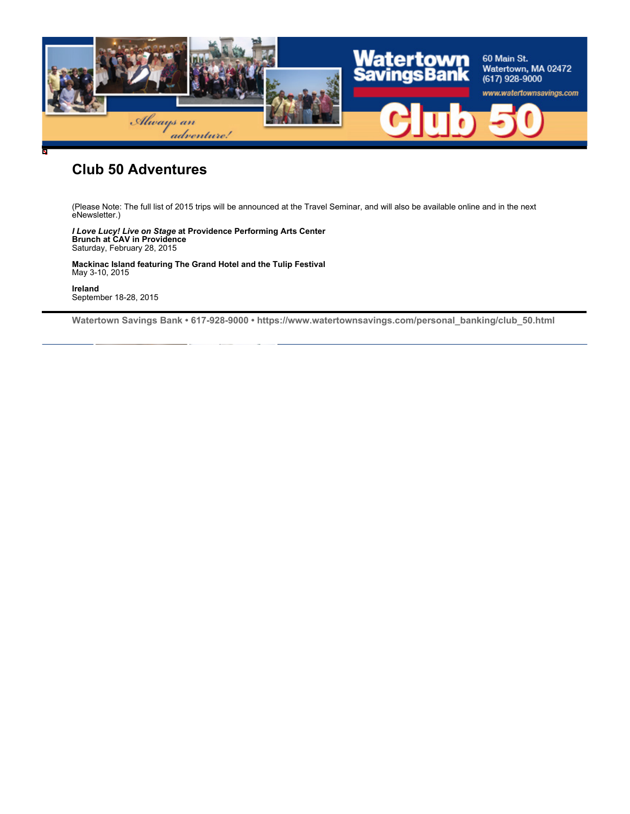

### **Club 50 Adventures**

(Please Note: The full list of 2015 trips will be announced at the Travel Seminar, and will also be available online and in the next eNewsletter.)

*I Love Lucy! Live on Stage* **at Providence Performing Arts Center Brunch at CAV in Providence** Saturday, February 28, 2015

**Mackinac Island featuring The Grand Hotel and the Tulip Festival** May 3-10, 2015

**Ireland** September 18-28, 2015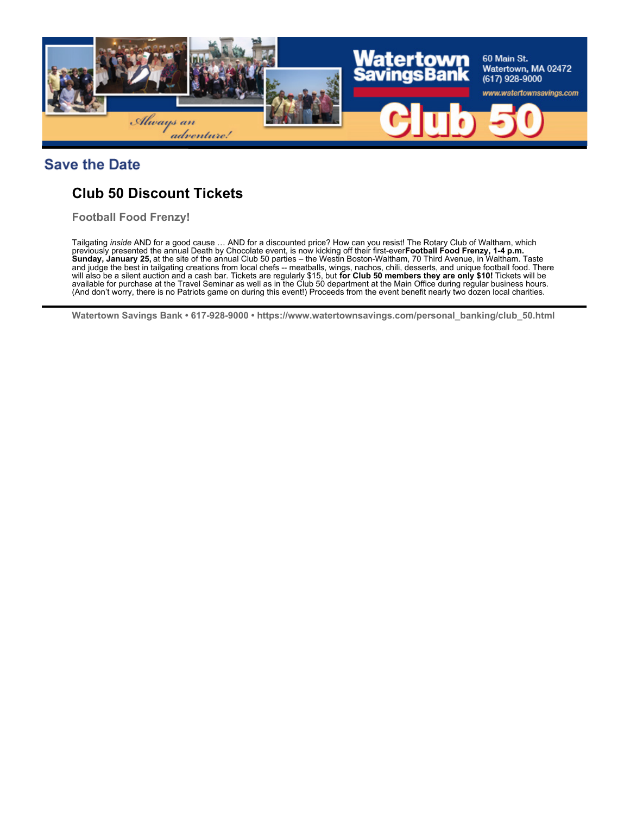

#### **Save the Date**

# **Club 50 Discount Tickets**

**Football Food Frenzy!**

Tailgating *inside* AND for a good cause … AND for a discounted price? How can you resist! The Rotary Club of Waltham, which previously presented the annual Death by Chocolate event, is now kicking off their first-ever **Football Food Frenzy, 1-4 p.m. Sunday, January 25,** at the site of the annual Club 50 parties – the Westin Boston-Waltham, 70 Third Avenue, in Waltham. Taste and judge the best in tailgating creations from local chefs -- meatballs, wings, nachos, chili, desserts, and unique football food. There will also be a silent auction and a cash bar. Tickets are regularly \$15, but **for Club 50 members they are only \$10!** Tickets will be available for purchase at the Travel Seminar as well as in the Club 50 department at the Main Office during regular business hours. (And don't worry, there is no Patriots game on during this event!) Proceeds from the event benefit nearly two dozen local charities.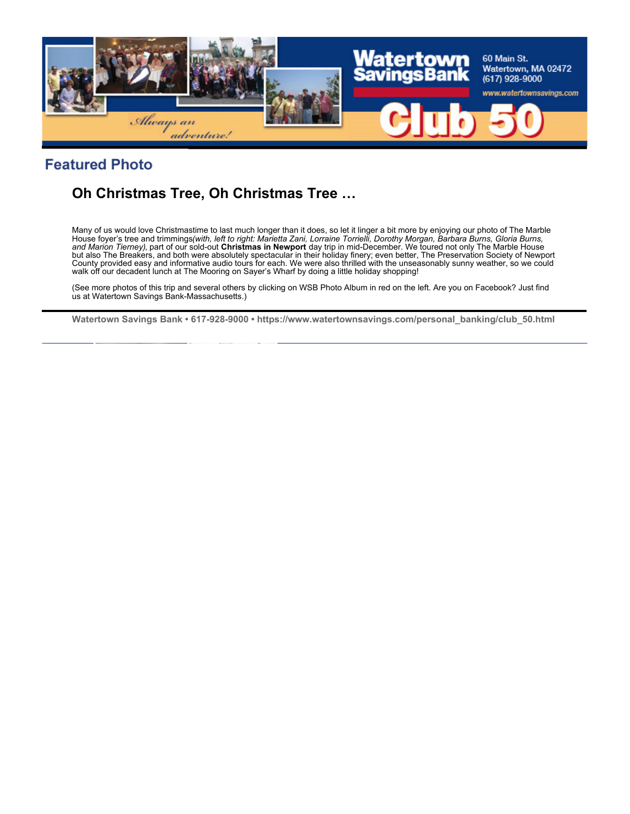

## **Featured Photo**

# **Oh Christmas Tree, Oh Christmas Tree …**

Many of us would love Christmastime to last much longer than it does, so let it linger a bit more by enjoying our photo of The Marble<br>House foyer's tree and trimmings(*with, left to right: Marietta Zani, Lorraine Torrielli and Marion Tierney)*, part of our sold-out **Christmas in Newport** day trip in mid-December. We toured not only The Marble House but also The Breakers, and both were absolutely spectacular in their holiday finery; even better, The Preservation Society of Newport County provided easy and informative audio tours for each. We were also thrilled with the unseasonably sunny weather, so we could walk off our decadent lunch at The Mooring on Sayer's Wharf by doing a little holiday shopping!

(See more photos of this trip and several others by clicking on WSB Photo Album in red on the left. Are you on Facebook? Just find us at Watertown Savings Bank-Massachusetts.)